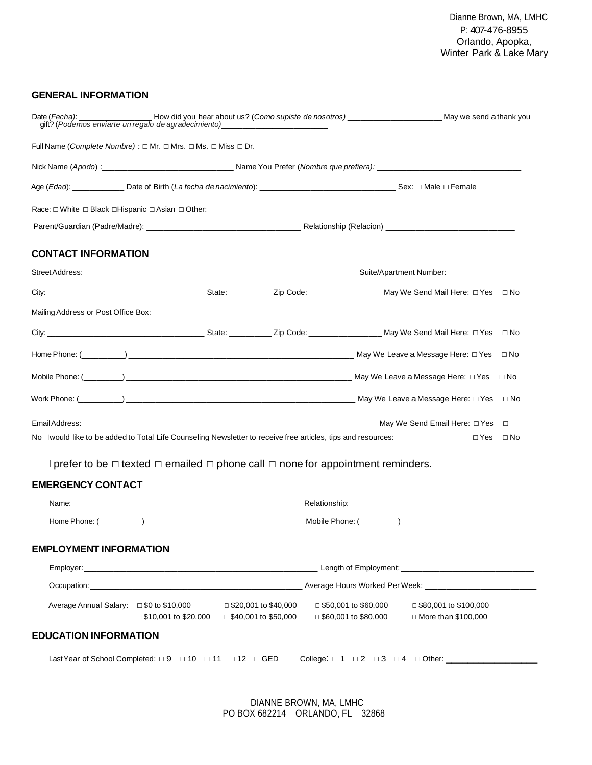#### **GENERAL INFORMATION**

| <b>CONTACT INFORMATION</b>                                                                                    |  |            |              |
|---------------------------------------------------------------------------------------------------------------|--|------------|--------------|
|                                                                                                               |  |            |              |
|                                                                                                               |  |            |              |
|                                                                                                               |  |            |              |
|                                                                                                               |  |            | ⊟ No         |
|                                                                                                               |  |            | $\Box$ No    |
|                                                                                                               |  |            | $\Box$ No    |
|                                                                                                               |  |            | $\square$ No |
|                                                                                                               |  |            |              |
| No I would like to be added to Total Life Counseling Newsletter to receive free articles, tips and resources: |  | $\Box$ Yes | ⊟ No         |

I prefer to be □ texted □ emailed □ phone call □ none for appointment reminders.

## **EMERGENCY CONTACT**

|                               |                                                                                  |                                                       | Relationship: the contract of the contract of the contract of the contract of the contract of the contract of the contract of the contract of the contract of the contract of the contract of the contract of the contract of |                                                                                                   |  |  |
|-------------------------------|----------------------------------------------------------------------------------|-------------------------------------------------------|-------------------------------------------------------------------------------------------------------------------------------------------------------------------------------------------------------------------------------|---------------------------------------------------------------------------------------------------|--|--|
|                               |                                                                                  |                                                       |                                                                                                                                                                                                                               |                                                                                                   |  |  |
| <b>EMPLOYMENT INFORMATION</b> |                                                                                  |                                                       |                                                                                                                                                                                                                               |                                                                                                   |  |  |
|                               |                                                                                  |                                                       |                                                                                                                                                                                                                               | Employer: Length of Employment: Length of Employment: Length of Employment: Length of Employment: |  |  |
|                               |                                                                                  |                                                       |                                                                                                                                                                                                                               |                                                                                                   |  |  |
|                               | Average Annual Salary: □ \$0 to \$10,000<br>$\Box$ \$10,001 to \$20,000          | $\Box$ \$20,001 to \$40,000<br>□ \$40,001 to \$50,000 | □ \$50,001 to \$60,000<br>□ \$60,001 to \$80,000                                                                                                                                                                              | □ \$80,001 to \$100,000<br>$\Box$ More than \$100,000                                             |  |  |
| <b>EDUCATION INFORMATION</b>  |                                                                                  |                                                       |                                                                                                                                                                                                                               |                                                                                                   |  |  |
|                               | Last Year of School Completed: $\Box 9$ $\Box 10$ $\Box 11$ $\Box 12$ $\Box$ GED |                                                       |                                                                                                                                                                                                                               | College: □ 1 □ 2 □ 3 □ 4 □ Other: _____________                                                   |  |  |

DIANNE BROWN, MA, LMHC PO BOX 682214 ORLANDO, FL 32868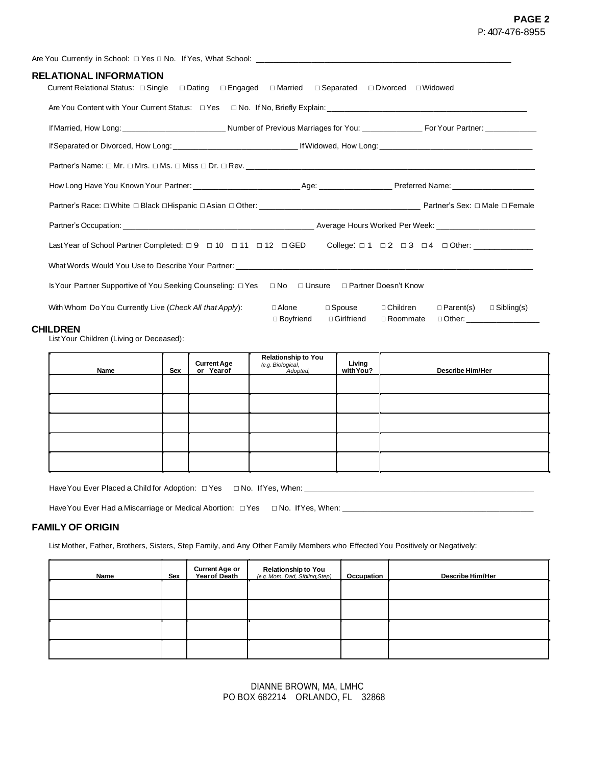### **PAGE 2** P: 407-476-8955

| RELATIONAL INFORMATION<br>Current Relational Status: □ Single □ Dating □ Engaged □ Married □ Separated □ Divorced □ Widowed                         |                                                                                                                                               |  |
|-----------------------------------------------------------------------------------------------------------------------------------------------------|-----------------------------------------------------------------------------------------------------------------------------------------------|--|
|                                                                                                                                                     |                                                                                                                                               |  |
|                                                                                                                                                     |                                                                                                                                               |  |
|                                                                                                                                                     |                                                                                                                                               |  |
|                                                                                                                                                     |                                                                                                                                               |  |
|                                                                                                                                                     |                                                                                                                                               |  |
|                                                                                                                                                     |                                                                                                                                               |  |
|                                                                                                                                                     |                                                                                                                                               |  |
| Last Year of School Partner Completed: $\Box 9$ $\Box 10$ $\Box 11$ $\Box 12$ $\Box$ GED College: $\Box 1$ $\Box 2$ $\Box 3$ $\Box 4$ $\Box$ Other: |                                                                                                                                               |  |
|                                                                                                                                                     |                                                                                                                                               |  |
| Is Your Partner Supportive of You Seeking Counseling: □ Yes □ No □ Unsure □ Partner Doesn't Know                                                    |                                                                                                                                               |  |
| With Whom Do You Currently Live (Check All that Apply):                                                                                             | □ Spouse □ Children<br>□ Alone<br>□ Parent(s)<br>$\Box$ Sibling(s)<br>□ Boyfriend<br>□ Girlfriend<br>□ Roommate<br>□ Other: _________________ |  |

#### **CHILDREN**

ListYour Children (Living or Deceased):

| Name | Sex | <b>Current Age<br/>or Year of</b> | Relationship to You<br>(e.g. Biological,<br>Adopted, | Living<br>with You? | <b>Describe Him/Her</b> |
|------|-----|-----------------------------------|------------------------------------------------------|---------------------|-------------------------|
|      |     |                                   |                                                      |                     |                         |
|      |     |                                   |                                                      |                     |                         |
|      |     |                                   |                                                      |                     |                         |
|      |     |                                   |                                                      |                     |                         |
|      |     |                                   |                                                      |                     |                         |

HaveYou Ever Placed a Child for Adoption: □Yes □ No. IfYes, When: \_\_\_\_\_\_\_\_\_\_\_\_\_\_\_\_\_\_\_\_\_\_\_\_\_\_\_\_\_\_\_\_\_\_\_\_\_\_\_\_\_\_\_\_\_\_\_\_\_\_\_\_\_\_

Have You Ever Had a Miscarriage or Medical Abortion: □ Yes □ No. If Yes, When: \_

#### **FAMILY OF ORIGIN**

List Mother, Father, Brothers, Sisters, Step Family, and Any Other Family Members who Effected You Positively or Negatively:

| Name | Sex | <b>Current Age or</b><br>Year of Death | Relationship to You<br>(e.g. Mom. Dad. Sibling.Step) | Occupation | <b>Describe Him/Her</b> |
|------|-----|----------------------------------------|------------------------------------------------------|------------|-------------------------|
|      |     |                                        |                                                      |            |                         |
|      |     |                                        |                                                      |            |                         |
|      |     |                                        |                                                      |            |                         |
|      |     |                                        |                                                      |            |                         |

DIANNE BROWN, MA, LMHC PO BOX 682214 ORLANDO, FL 32868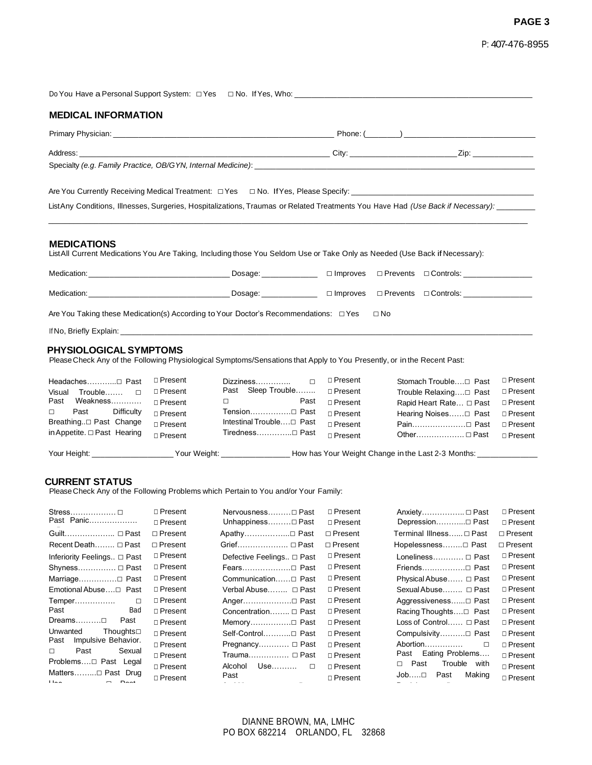### **PAGE 3**

|  |  |  | P: 407-476-8955 |
|--|--|--|-----------------|
|--|--|--|-----------------|

| <b>MEDICAL INFORMATION</b>                                                                                                                               |  |  |  |  |  |  |  |
|----------------------------------------------------------------------------------------------------------------------------------------------------------|--|--|--|--|--|--|--|
|                                                                                                                                                          |  |  |  |  |  |  |  |
|                                                                                                                                                          |  |  |  |  |  |  |  |
| ListAny Conditions, Illnesses, Surgeries, Hospitalizations, Traumas or Related Treatments You Have Had (Use Back if Necessary): _______                  |  |  |  |  |  |  |  |
| <b>MEDICATIONS</b><br>ListAll Current Medications You Are Taking, Including those You Seldom Use or Take Only as Needed (Use Back if Necessary):         |  |  |  |  |  |  |  |
|                                                                                                                                                          |  |  |  |  |  |  |  |
|                                                                                                                                                          |  |  |  |  |  |  |  |
| Are You Taking these Medication(s) According to Your Doctor's Recommendations: $\Box$ Yes $\Box$ No                                                      |  |  |  |  |  |  |  |
|                                                                                                                                                          |  |  |  |  |  |  |  |
| <b>PHYSIOLOGICAL SYMPTOMS</b><br>Please Check Any of the Following Physiological Symptoms/Sensations that Apply to You Presently, or in the Recent Past: |  |  |  |  |  |  |  |

| Headaches□ Past                  | □ Present                 | $\Box$                               | □ Present        |                                                    | □ Present        |
|----------------------------------|---------------------------|--------------------------------------|------------------|----------------------------------------------------|------------------|
| Visual Trouble $\Box$            | $\Box$ Present            | Past Sleep Trouble                   | □ Present        | Trouble Relaxing□ Past                             | □ Present        |
| Weakness<br>Past                 | □ Present                 | Past<br>$\Box$ and the set of $\Box$ | □ Present        | Rapid Heart Rate □ Past                            | □ Present        |
| Past<br>Difficulty<br>$\Box$     | □ Present                 | Tension□ Past                        | $\sqcap$ Present | Hearing Noises□ Past □ Present                     |                  |
| Breathing□ Past Change           | □ Present                 |                                      | $\sqcap$ Present | Pain□ Past                                         | □ Present        |
| in Appetite. $\Box$ Past Hearing | $\sqcap$ Present          | Tiredness□ Past                      | $\sqcap$ Present | Other □ Past                                       | $\sqcap$ Present |
| Your Height: ___________________ | Your Weight: Your Weight: |                                      |                  | How has Your Weight Change in the Last 2-3 Months: |                  |

#### **CURRENT STATUS**

PleaseCheck Any of the Following Problems which Pertain to You and/or Your Family:

| Stress □<br>Past Panic                                      | □ Present<br>□ Present | Nervousness□ Past<br>Unhappiness□ Past | $\Box$ Present<br>□ Present | Anxiety □ Past<br>Depression□ Past | □ Present<br>□ Present |
|-------------------------------------------------------------|------------------------|----------------------------------------|-----------------------------|------------------------------------|------------------------|
| Guilt □ Past                                                | $\Box$ Present         | Apathy□ Past                           | $\Box$ Present              | Terminal Illness □ Past            | $\Box$ Present         |
| Recent Death □ Past                                         | $\Box$ Present         | Grief □ Past                           | $\Box$ Present              | Hopelessness□ Past                 | $\Box$ Present         |
| Inferiority Feelings □ Past                                 | □ Present              | Defective Feelings □ Past              | □ Present                   | Loneliness □ Past                  | □ Present              |
| Shyness $\Box$ Past                                         | □ Present              | Fears□ Past                            | □ Present                   | Friends□ Past                      | □ Present              |
| Marriage□ Past                                              | $\Box$ Present         | Communication □ Past                   | $\Box$ Present              | Physical Abuse □ Past              | □ Present              |
| Emotional Abuse□ Past                                       | □ Present              | Verbal Abuse □ Past                    | $\Box$ Present              | Sexual Abuse □ Past                | □ Present              |
| Temper<br>$\Box$                                            | □ Present              | Anger□ Past                            | $\Box$ Present              | Aggressiveness□ Past               | □ Present              |
| Past<br>Bad                                                 | $\Box$ Present         | Concentration □ Past                   | $\Box$ Present              |                                    | □ Present              |
| Dreams………□<br>Past                                          | □ Present              | Memory□ Past                           | □ Present                   | Loss of Control $\Box$ Past        | □ Present              |
| Unwanted<br>Thoughts $\square$                              | $\sqcap$ Present       | Self-Control□ Past                     | $\sqcap$ Present            | Compulsivity□ Past                 | $\Box$ Present         |
| Impulsive Behavior.<br>Past                                 | $\Box$ Present         | Pregnancy □ Past                       | □ Present                   | Abortion<br>п                      | □ Present              |
| Sexual<br>Past<br>П.                                        | □ Present              | Trauma □ Past                          | $\sqcap$ Present            | Eating Problems<br>Past            | □ Present              |
| Problems□ Past Legal                                        | $\Box$ Present         | Use………  □<br>Alcohol                   | □ Present                   | Past<br>Trouble with<br>П.         | $\Box$ Present         |
| Matters□ Past Drug<br>II <sub>0</sub><br>$D_{\alpha\alpha}$ | $\Box$ Present         | Past                                   | □ Present                   | Job……⊡<br>Past<br>Making           | □ Present              |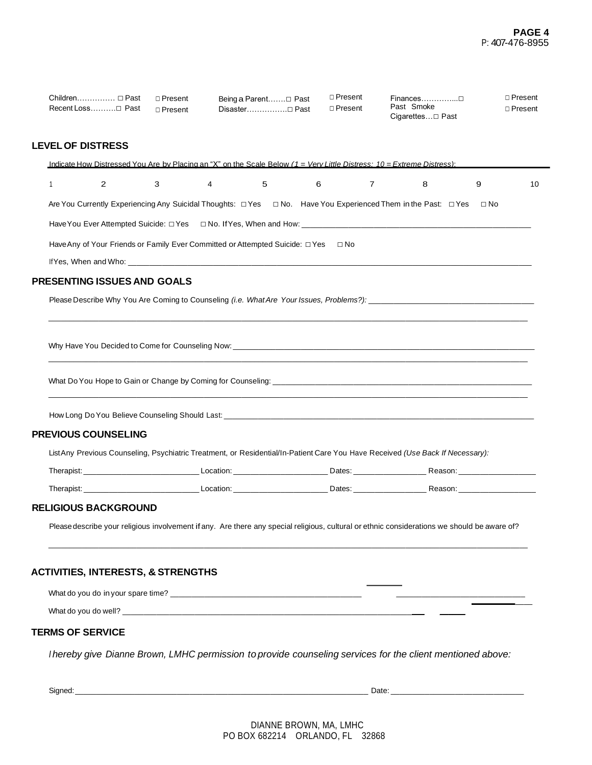| Children $\Box$ Past<br>Recent Loss Past      |                       | $\Box$ Present<br>$\Box$ Present                                                   |   | Being a Parent□ Past<br>Disaster□ Past | $\Box$ Present<br>$\Box$ Present |                | Finances□<br>Past Smoke                                                                                                                      |           | □ Present<br>□ Present |
|-----------------------------------------------|-----------------------|------------------------------------------------------------------------------------|---|----------------------------------------|----------------------------------|----------------|----------------------------------------------------------------------------------------------------------------------------------------------|-----------|------------------------|
| <b>LEVEL OF DISTRESS</b>                      |                       |                                                                                    |   |                                        |                                  |                |                                                                                                                                              |           |                        |
|                                               |                       |                                                                                    |   |                                        |                                  |                | Indicate How Distressed You Are by Placing an "X" on the Scale Below $(1 = \text{Verv Little Distress: } 10 = \text{Extreme Distress})$ :    |           |                        |
| $\mathbf{1}$                                  | $\mathbf{2}^{\prime}$ | 3                                                                                  | 4 | 5                                      | 6                                | $\overline{7}$ | 8                                                                                                                                            | 9         | 10                     |
|                                               |                       |                                                                                    |   |                                        |                                  |                | Are You Currently Experiencing Any Suicidal Thoughts: □ Yes □ No. Have You Experienced Them in the Past: □ Yes                               | $\Box$ No |                        |
|                                               |                       |                                                                                    |   |                                        |                                  |                |                                                                                                                                              |           |                        |
|                                               |                       | Have Any of Your Friends or Family Ever Committed or Attempted Suicide: □ Yes □ No |   |                                        |                                  |                |                                                                                                                                              |           |                        |
|                                               |                       |                                                                                    |   |                                        |                                  |                |                                                                                                                                              |           |                        |
| <b>PRESENTING ISSUES AND GOALS</b>            |                       |                                                                                    |   |                                        |                                  |                |                                                                                                                                              |           |                        |
|                                               |                       |                                                                                    |   |                                        |                                  |                |                                                                                                                                              |           |                        |
|                                               |                       |                                                                                    |   |                                        |                                  |                |                                                                                                                                              |           |                        |
|                                               |                       |                                                                                    |   |                                        |                                  |                |                                                                                                                                              |           |                        |
|                                               |                       |                                                                                    |   |                                        |                                  |                |                                                                                                                                              |           |                        |
|                                               |                       |                                                                                    |   |                                        |                                  |                |                                                                                                                                              |           |                        |
|                                               |                       |                                                                                    |   |                                        |                                  |                |                                                                                                                                              |           |                        |
| <b>PREVIOUS COUNSELING</b>                    |                       |                                                                                    |   |                                        |                                  |                |                                                                                                                                              |           |                        |
|                                               |                       |                                                                                    |   |                                        |                                  |                | ListAny Previous Counseling, Psychiatric Treatment, or Residential/In-Patient Care You Have Received (Use Back If Necessary):                |           |                        |
|                                               |                       |                                                                                    |   |                                        |                                  |                |                                                                                                                                              |           |                        |
|                                               |                       |                                                                                    |   |                                        |                                  |                |                                                                                                                                              |           |                        |
| <b>RELIGIOUS BACKGROUND</b>                   |                       |                                                                                    |   |                                        |                                  |                |                                                                                                                                              |           |                        |
|                                               |                       |                                                                                    |   |                                        |                                  |                | Please describe your religious involvement if any. Are there any special religious, cultural or ethnic considerations we should be aware of? |           |                        |
|                                               |                       |                                                                                    |   |                                        |                                  |                |                                                                                                                                              |           |                        |
| <b>ACTIVITIES, INTERESTS, &amp; STRENGTHS</b> |                       |                                                                                    |   |                                        |                                  |                |                                                                                                                                              |           |                        |
|                                               |                       |                                                                                    |   |                                        |                                  |                |                                                                                                                                              |           |                        |
|                                               |                       |                                                                                    |   |                                        |                                  |                |                                                                                                                                              |           |                        |
| <b>TERMS OF SERVICE</b>                       |                       |                                                                                    |   |                                        |                                  |                |                                                                                                                                              |           |                        |
|                                               |                       |                                                                                    |   |                                        |                                  |                | I hereby give Dianne Brown, LMHC permission to provide counseling services for the client mentioned above:                                   |           |                        |
|                                               |                       |                                                                                    |   |                                        |                                  |                |                                                                                                                                              |           |                        |
| Signed:                                       |                       |                                                                                    |   |                                        |                                  |                | Date:                                                                                                                                        |           |                        |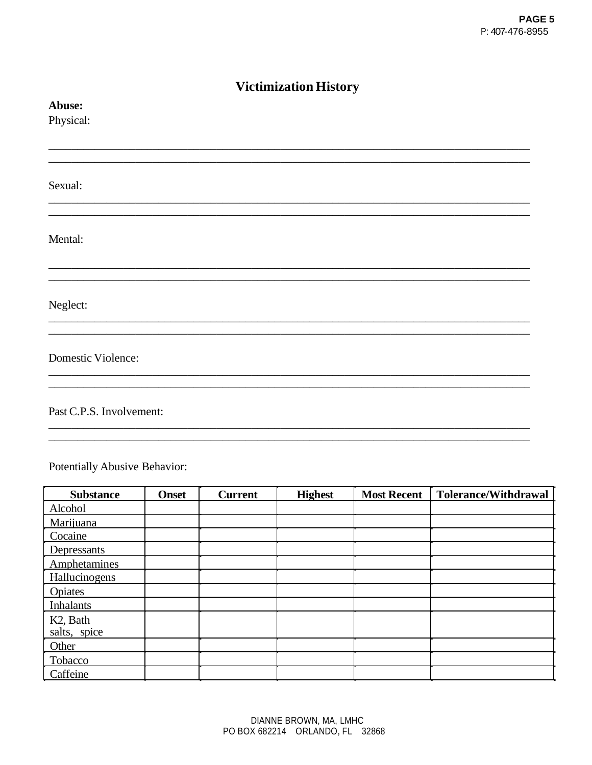| <b>Victimization History</b> |  |  |  |  |  |
|------------------------------|--|--|--|--|--|
| Abuse:                       |  |  |  |  |  |
| Physical:                    |  |  |  |  |  |
|                              |  |  |  |  |  |
|                              |  |  |  |  |  |
| Sexual:                      |  |  |  |  |  |
|                              |  |  |  |  |  |
|                              |  |  |  |  |  |
| Mental:                      |  |  |  |  |  |
|                              |  |  |  |  |  |
|                              |  |  |  |  |  |
| Neglect:                     |  |  |  |  |  |
|                              |  |  |  |  |  |
| <b>Domestic Violence:</b>    |  |  |  |  |  |
|                              |  |  |  |  |  |
|                              |  |  |  |  |  |
| Past C.P.S. Involvement:     |  |  |  |  |  |
|                              |  |  |  |  |  |

Potentially Abusive Behavior:

| <b>Substance</b>      | <b>Onset</b> | <b>Current</b> | <b>Highest</b> | <b>Most Recent</b> | <b>Tolerance/Withdrawal</b> |
|-----------------------|--------------|----------------|----------------|--------------------|-----------------------------|
| Alcohol               |              |                |                |                    |                             |
| Marijuana             |              |                |                |                    |                             |
| Cocaine               |              |                |                |                    |                             |
| Depressants           |              |                |                |                    |                             |
| Amphetamines          |              |                |                |                    |                             |
| Hallucinogens         |              |                |                |                    |                             |
| <b>Opiates</b>        |              |                |                |                    |                             |
| <b>Inhalants</b>      |              |                |                |                    |                             |
| K <sub>2</sub> , Bath |              |                |                |                    |                             |
| salts, spice          |              |                |                |                    |                             |
| Other                 |              |                |                |                    |                             |
| Tobacco               |              |                |                |                    |                             |
| Caffeine              |              |                |                |                    |                             |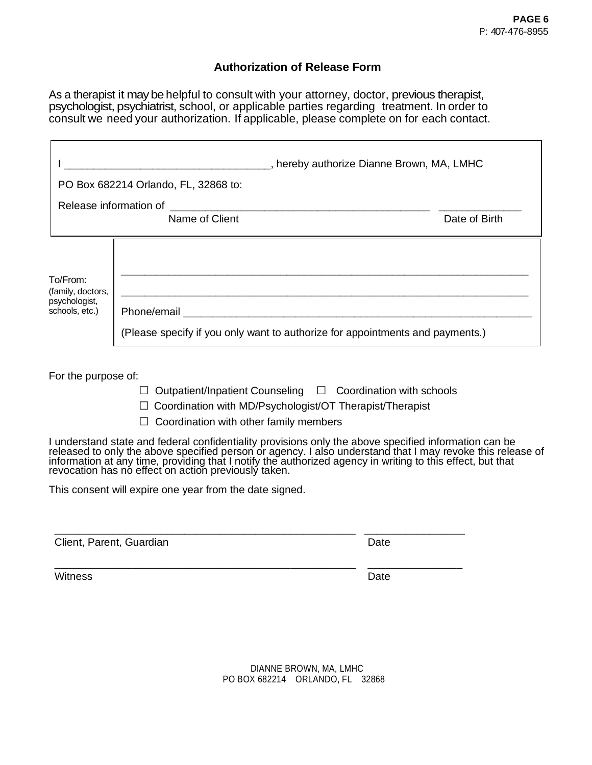## **Authorization of Release Form**

As a therapist it may be helpful to consult with your attorney, doctor, previous therapist, psychologist, psychiatrist, school, or applicable parties regarding treatment. In order to consult we need your authorization. If applicable, please complete on for each contact.

|                                                                     | hereby authorize Dianne Brown, MA, LMHC, رحم المستحدث المستحدث المستحدث المستحدث                                                                                                                                               |               |
|---------------------------------------------------------------------|--------------------------------------------------------------------------------------------------------------------------------------------------------------------------------------------------------------------------------|---------------|
|                                                                     | PO Box 682214 Orlando, FL, 32868 to:                                                                                                                                                                                           |               |
| Release information of                                              |                                                                                                                                                                                                                                |               |
|                                                                     | Name of Client                                                                                                                                                                                                                 | Date of Birth |
| $To/From$ :<br>(family, doctors,<br>psychologist,<br>schools, etc.) | <u> 1989 - Johann Barbara, martin amerikan basar dan berasal dalam basa dalam basar dalam basar dalam basar dala</u><br>Phone/email<br>(Please specify if you only want to authorize for appointments and payments.)           |               |
| For the purpose of:                                                 | $\Box$ Outpatient/Inpatient Counseling $\Box$ Coordination with schools<br>Coordination with MD/Psychologist/OT Therapist/Therapist<br>$\Box$ Coordination with other family members                                           |               |
|                                                                     | I understand state and federal confidentiality provisions only the above specified information can be released to only the above specified person or agency. I also understand that I may revoke this release of information a |               |
|                                                                     | This consent will expire one year from the date signed.                                                                                                                                                                        |               |

Client, Parent, Guardian Date Date

Witness **Date** 

\_\_\_\_\_\_\_\_\_\_\_\_\_\_\_\_\_\_\_\_\_\_\_\_\_\_\_\_\_\_\_\_\_\_\_\_\_\_\_\_\_\_\_\_\_\_\_\_\_\_\_ \_\_\_\_\_\_\_\_\_\_\_\_\_\_\_\_

DIANNE BROWN, MA, LMHC PO BOX 682214 ORLANDO, FL 32868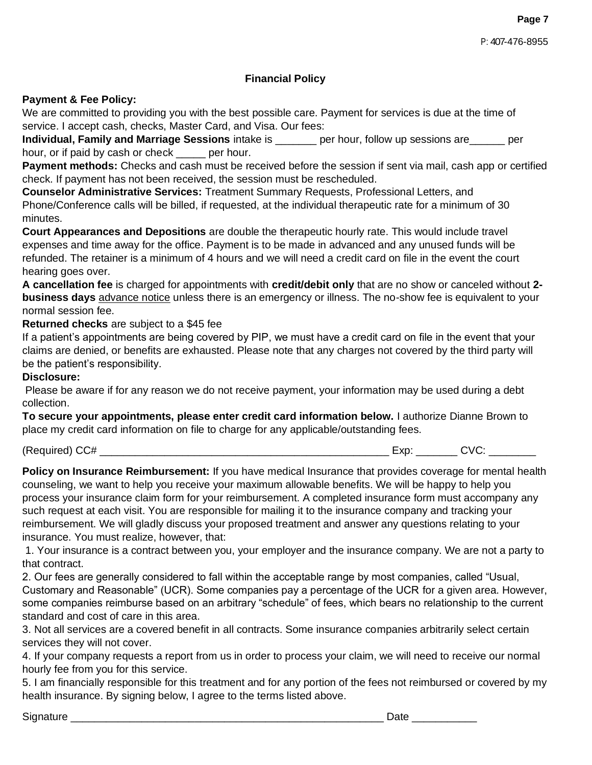## **Financial Policy**

### **Payment & Fee Policy:**

We are committed to providing you with the best possible care. Payment for services is due at the time of service. I accept cash, checks, Master Card, and Visa. Our fees:

**Individual, Family and Marriage Sessions** intake is \_\_\_\_\_\_\_ per hour, follow up sessions are\_\_\_\_\_\_ per hour, or if paid by cash or check \_\_\_\_\_ per hour.

**Payment methods:** Checks and cash must be received before the session if sent via mail, cash app or certified check. If payment has not been received, the session must be rescheduled.

**Counselor Administrative Services:** Treatment Summary Requests, Professional Letters, and Phone/Conference calls will be billed, if requested, at the individual therapeutic rate for a minimum of 30 minutes.

**Court Appearances and Depositions** are double the therapeutic hourly rate. This would include travel expenses and time away for the office. Payment is to be made in advanced and any unused funds will be refunded. The retainer is a minimum of 4 hours and we will need a credit card on file in the event the court hearing goes over.

**A cancellation fee** is charged for appointments with **credit/debit only** that are no show or canceled without **2 business days** advance notice unless there is an emergency or illness. The no-show fee is equivalent to your normal session fee.

**Returned checks** are subject to a \$45 fee

If a patient's appointments are being covered by PIP, we must have a credit card on file in the event that your claims are denied, or benefits are exhausted. Please note that any charges not covered by the third party will be the patient's responsibility.

#### **Disclosure:**

Please be aware if for any reason we do not receive payment, your information may be used during a debt collection.

**To secure your appointments, please enter credit card information below.** I authorize Dianne Brown to place my credit card information on file to charge for any applicable/outstanding fees.

(Required) CC# \_\_\_\_\_\_\_\_\_\_\_\_\_\_\_\_\_\_\_\_\_\_\_\_\_\_\_\_\_\_\_\_\_\_\_\_\_\_\_\_\_\_\_\_\_\_\_\_\_ Exp: \_\_\_\_\_\_\_ CVC: \_\_\_\_\_\_\_\_

**Policy on Insurance Reimbursement:** If you have medical Insurance that provides coverage for mental health counseling, we want to help you receive your maximum allowable benefits. We will be happy to help you process your insurance claim form for your reimbursement. A completed insurance form must accompany any such request at each visit. You are responsible for mailing it to the insurance company and tracking your reimbursement. We will gladly discuss your proposed treatment and answer any questions relating to your insurance. You must realize, however, that:

1. Your insurance is a contract between you, your employer and the insurance company. We are not a party to that contract.

2. Our fees are generally considered to fall within the acceptable range by most companies, called "Usual, Customary and Reasonable" (UCR). Some companies pay a percentage of the UCR for a given area. However, some companies reimburse based on an arbitrary "schedule" of fees, which bears no relationship to the current standard and cost of care in this area.

3. Not all services are a covered benefit in all contracts. Some insurance companies arbitrarily select certain services they will not cover.

4. If your company requests a report from us in order to process your claim, we will need to receive our normal hourly fee from you for this service.

5. I am financially responsible for this treatment and for any portion of the fees not reimbursed or covered by my health insurance. By signing below, I agree to the terms listed above.

Signature \_\_\_\_\_\_\_\_\_\_\_\_\_\_\_\_\_\_\_\_\_\_\_\_\_\_\_\_\_\_\_\_\_\_\_\_\_\_\_\_\_\_\_\_\_\_\_\_\_\_\_\_\_ Date \_\_\_\_\_\_\_\_\_\_\_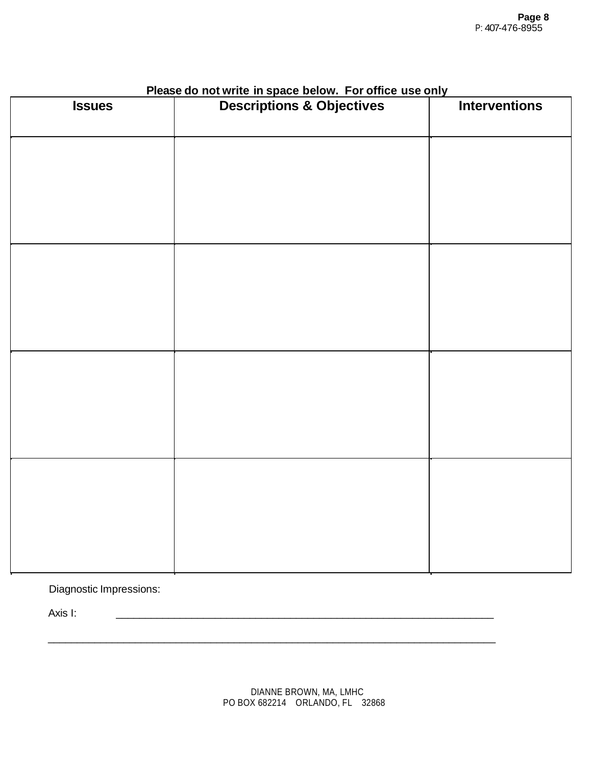| <b>Issues</b> | <b>Thease do not write in space below.</b> This office use only | <b>Interventions</b> |  |
|---------------|-----------------------------------------------------------------|----------------------|--|
|               |                                                                 |                      |  |
|               |                                                                 |                      |  |
|               |                                                                 |                      |  |
|               |                                                                 |                      |  |
|               |                                                                 |                      |  |
|               |                                                                 |                      |  |
|               |                                                                 |                      |  |
|               |                                                                 |                      |  |
|               |                                                                 |                      |  |
|               |                                                                 |                      |  |
|               |                                                                 |                      |  |
|               |                                                                 |                      |  |
|               |                                                                 |                      |  |
|               |                                                                 |                      |  |
|               |                                                                 |                      |  |
|               |                                                                 |                      |  |
|               |                                                                 |                      |  |
|               |                                                                 |                      |  |

## **Please do not write in space below. For office use only**

Diagnostic Impressions:

Axis I: \_\_\_\_\_\_\_\_\_\_\_\_\_\_\_\_\_\_\_\_\_\_\_\_\_\_\_\_\_\_\_\_\_\_\_\_\_\_\_\_\_\_\_\_\_\_\_\_\_\_\_\_\_\_\_\_\_\_\_\_\_\_\_\_\_

\_\_\_\_\_\_\_\_\_\_\_\_\_\_\_\_\_\_\_\_\_\_\_\_\_\_\_\_\_\_\_\_\_\_\_\_\_\_\_\_\_\_\_\_\_\_\_\_\_\_\_\_\_\_\_\_\_\_\_\_\_\_\_\_\_\_\_\_\_\_\_\_\_\_\_\_\_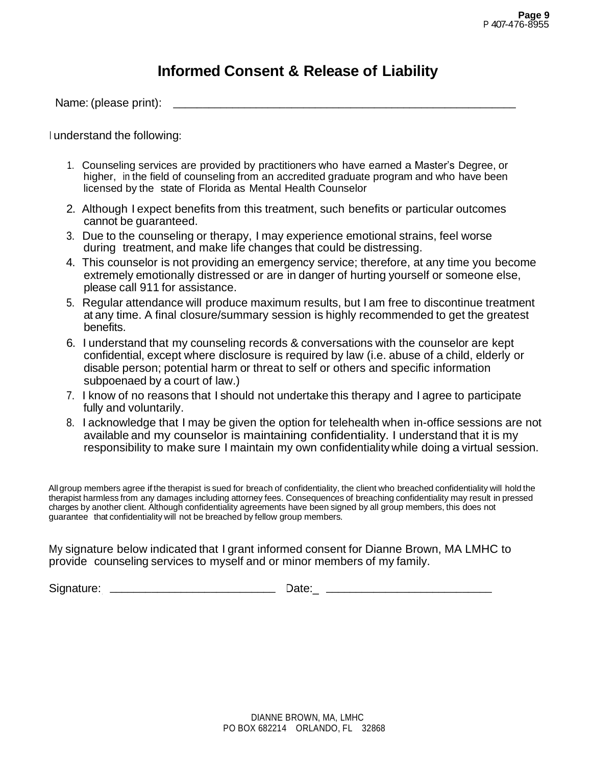## **Informed Consent & Release of Liability**

Name: (please print): \_\_\_\_\_\_\_\_\_\_\_\_\_\_\_\_\_\_\_\_\_\_\_\_\_\_\_\_\_\_\_\_\_\_\_\_\_\_\_\_\_\_\_\_\_\_\_\_\_\_\_\_\_\_\_\_\_\_

<sup>I</sup> understand the following:

- 1. Counseling services are provided by practitioners who have earned a Master's Degree, or higher, in the field of counseling from an accredited graduate program and who have been licensed by the state of Florida as Mental Health Counselor
- 2. Although I expect benefits from this treatment, such benefits or particular outcomes cannot be guaranteed.
- 3. Due to the counseling or therapy, I may experience emotional strains, feel worse during treatment, and make life changes that could be distressing.
- 4. This counselor is not providing an emergency service; therefore, at any time you become extremely emotionally distressed or are in danger of hurting yourself or someone else, please call 911 for assistance.
- 5. Regular attendance will produce maximum results, but I am free to discontinue treatment at any time. A final closure/summary session is highly recommended to get the greatest benefits.
- 6. I understand that my counseling records & conversations with the counselor are kept confidential, except where disclosure is required by law (i.e. abuse of a child, elderly or diary ante. A final dissurct summary session is highly recommended to get the gree<br>benefits.<br>I understand that my counseling records & conversations with the counselor are kep<br>confidential, except where disclosure is requi subpoenaed by a court of law.)
- 7. I know of no reasons that I should not undertake this therapy and I agree to participate fully and voluntarily.
- 8. I acknowledge that I may be given the option for telehealth when in-office sessions are not available and my counselor is maintaining confidentiality. I understand that it is my responsibility to make sure I maintain my own confidentiality while doing a virtual session.

All group members agree ifthe therapist is sued for breach of confidentiality, the client who breached confidentiality will hold the therapist harmless from any damages including attorney fees. Consequences of breaching confidentiality may result in pressed charges by another client. Although confidentiality agreements have been signed by all group members, this does not guarantee that confidentiality will not be breached by fellow group members.

My signature below indicated that I grant informed consent for Dianne Brown, MA LMHC to provide counseling services to myself and or minor members of my family.

Signature:\_\_\_\_\_\_\_\_\_\_\_\_\_\_\_\_\_\_\_\_\_\_\_\_\_\_\_\_ Date:\_\_\_\_\_\_\_\_\_\_\_\_\_\_\_\_\_\_\_\_\_\_\_\_\_\_ \_\_\_\_\_\_\_\_\_\_\_\_\_\_\_\_\_\_\_\_\_\_\_\_\_\_\_\_ \_\_\_\_\_\_\_\_\_\_\_\_\_\_\_\_\_\_\_\_\_\_\_\_\_\_\_\_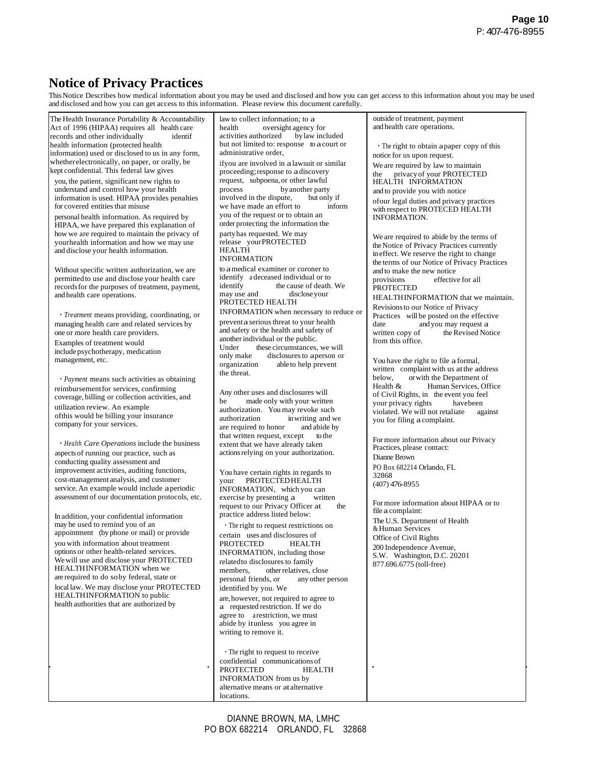## **Notice of Privacy Practices**

ThisNotice Describes how medical information about you may be used and disclosed and how you can get access to this information about you may be used

| and disclosed and how you can get access to this information. Please review this document carefully.                                                                                                                                                                                                                                                                                                                                                                                                                                                                                                                                                                                                                                                                                                                                                                                                                                                                                                                                                                                                                                                                                                                                                                                                                                                                                                                                                                                                                                                                                                                                                                                                                                                                                                                                                                                                                                                                                                                                                                                                                                                                                                                                        |                                                                                                                                                                                                                                                                                                                                                                                                                                                                                                                                                                                                                                                                                                                                                                                                                                                                                                                                                                                                                                                                                                                                                                                                                                                                                                                                                                                                                                                                                                                                                                                                                                                                                                                                                                                                                                                                                                                                                                                                                                                                                                                                                                              | This Notice Describes how medical information about you may be used and disclosed and how you can get access to this information about you may be use                                                                                                                                                                                                                                                                                                                                                                                                                                                                                                                                                                                                                                                                                                                                                                                                                                                                                                                                                                                                                                                                                                                                                                                                                                                                                                                                                                                                                                                      |
|---------------------------------------------------------------------------------------------------------------------------------------------------------------------------------------------------------------------------------------------------------------------------------------------------------------------------------------------------------------------------------------------------------------------------------------------------------------------------------------------------------------------------------------------------------------------------------------------------------------------------------------------------------------------------------------------------------------------------------------------------------------------------------------------------------------------------------------------------------------------------------------------------------------------------------------------------------------------------------------------------------------------------------------------------------------------------------------------------------------------------------------------------------------------------------------------------------------------------------------------------------------------------------------------------------------------------------------------------------------------------------------------------------------------------------------------------------------------------------------------------------------------------------------------------------------------------------------------------------------------------------------------------------------------------------------------------------------------------------------------------------------------------------------------------------------------------------------------------------------------------------------------------------------------------------------------------------------------------------------------------------------------------------------------------------------------------------------------------------------------------------------------------------------------------------------------------------------------------------------------|------------------------------------------------------------------------------------------------------------------------------------------------------------------------------------------------------------------------------------------------------------------------------------------------------------------------------------------------------------------------------------------------------------------------------------------------------------------------------------------------------------------------------------------------------------------------------------------------------------------------------------------------------------------------------------------------------------------------------------------------------------------------------------------------------------------------------------------------------------------------------------------------------------------------------------------------------------------------------------------------------------------------------------------------------------------------------------------------------------------------------------------------------------------------------------------------------------------------------------------------------------------------------------------------------------------------------------------------------------------------------------------------------------------------------------------------------------------------------------------------------------------------------------------------------------------------------------------------------------------------------------------------------------------------------------------------------------------------------------------------------------------------------------------------------------------------------------------------------------------------------------------------------------------------------------------------------------------------------------------------------------------------------------------------------------------------------------------------------------------------------------------------------------------------------|------------------------------------------------------------------------------------------------------------------------------------------------------------------------------------------------------------------------------------------------------------------------------------------------------------------------------------------------------------------------------------------------------------------------------------------------------------------------------------------------------------------------------------------------------------------------------------------------------------------------------------------------------------------------------------------------------------------------------------------------------------------------------------------------------------------------------------------------------------------------------------------------------------------------------------------------------------------------------------------------------------------------------------------------------------------------------------------------------------------------------------------------------------------------------------------------------------------------------------------------------------------------------------------------------------------------------------------------------------------------------------------------------------------------------------------------------------------------------------------------------------------------------------------------------------------------------------------------------------|
| The Health Insurance Portability & Accountability<br>Act of 1996 (HIPAA) requires all health care<br>records and other individually<br>identif<br>health information (protected health<br>information) used or disclosed to us in any form,<br>whether electronically, on paper, or orally, be<br>kept confidential. This federal law gives<br>you, the patient, significant new rights to<br>understand and control how your health<br>information is used. HIPAA provides penalties<br>for covered entities that misuse<br>personal health information. As required by<br>HIPAA, we have prepared this explanation of<br>how we are required to maintain the privacy of<br>yourhealth information and how we may use<br>and disclose your health information.<br>Without specific written authorization, we are<br>permitted to use and disclose your health care<br>records for the purposes of treatment, payment,<br>and health care operations.<br>· Treatment means providing, coordinating, or<br>managing health care and related services by<br>one or more health care providers.<br>Examples of treatment would<br>include psychotherapy, medication<br>management, etc.<br>· Payment means such activities as obtaining<br>reimbursement for services, confirming<br>coverage, billing or collection activities, and<br>utilization review. An example<br>of this would be billing your insurance<br>company for your services.<br>· Health Care Operations include the business<br>aspects of running our practice, such as<br>conducting quality assessment and<br>improvement activities, auditing functions,<br>cost-management analysis, and customer<br>service. An example would include a periodic<br>assessment of our documentation protocols, etc.<br>In addition, your confidential information<br>may be used to remind you of an<br>appointment (by phone or mail) or provide<br>you with information about treatment<br>options or other health-related services.<br>We will use and disclose your PROTECTED<br>HEALTHINFORMATION when we<br>are required to do soby federal, state or<br>local law. We may disclose your PROTECTED<br>HEALTHINFORMATION to public<br>health authorities that are authorized by | law to collect information; to a<br>oversight agency for<br>health<br>activities authorized<br>by law included<br>but not limited to: response to a court or<br>administrative order,<br>ifyou are involved in a lawsuit or similar<br>proceeding; response to a discovery<br>request, subpoena, or other lawful<br>by another party<br>process<br>involved in the dispute,<br>but only if<br>we have made an effort to<br>inform<br>you of the request or to obtain an<br>order protecting the information the<br>party has requested. We may<br>release your PROTECTED<br><b>HEALTH</b><br><b>INFORMATION</b><br>to a medical examiner or coroner to<br>identify a deceased individual or to<br>identify<br>the cause of death. We<br>may use and<br>disclose your<br>PROTECTED HEALTH<br>INFORMATION when necessary to reduce or<br>prevent a serious threat to your health<br>and safety or the health and safety of<br>another individual or the public.<br>these circumstances, we will<br>Under<br>only make<br>disclosures to aperson or<br>organization<br>able to help prevent<br>the threat.<br>Any other uses and disclosures will<br>be<br>made only with your written<br>authorization. You may revoke such<br>in writing and we<br>authorization<br>are required to honor<br>and abide by<br>that written request, except<br>to the<br>extent that we have already taken<br>actions relying on your authorization.<br>You have certain rights in regards to<br><b>PROTECTED HEALTH</b><br>your<br>INFORMATION, which you can<br>exercise by presenting a<br>written<br>request to our Privacy Officer at<br>the<br>practice address listed below:<br>. The right to request restrictions on<br>certain uses and disclosures of<br><b>PROTECTED</b><br>HEALTH<br>INFORMATION, including those<br>related to disclosures to family<br>members,<br>other relatives, close<br>personal friends, or<br>any other person<br>identified by you. We<br>are, however, not required to agree to<br>a requested restriction. If we do<br>agree to are striction, we must<br>abide by itunless you agree in<br>writing to remove it.<br>• The right to request to receive | outside of treatment, payment<br>and health care operations.<br>. The right to obtain a paper copy of this<br>notice for us upon request.<br>We are required by law to maintain<br>privacy of your PROTECTED<br>the<br>HEALTH INFORMATION<br>and to provide you with notice<br>of our legal duties and privacy practices<br>with respect to PROTECED HEALTH<br><b>INFORMATION.</b><br>We are required to abide by the terms of<br>the Notice of Privacy Practices currently<br>in effect. We reserve the right to change<br>the terms of our Notice of Privacy Practices<br>and to make the new notice<br>provisions<br>effective for all<br><b>PROTECTED</b><br>HEALTHINFORMATION that we maintain.<br>Revisions to our Notice of Privacy<br>Practices will be posted on the effective<br>date<br>and you may request a<br>written copy of<br>the Revised Notice<br>from this office.<br>You have the right to file a formal,<br>written complaint with us at the address<br>below,<br>or with the Department of<br>Health $&$<br>Human Services, Office<br>of Civil Rights, in the event you feel<br>your privacy rights<br>havebeen<br>violated. We will not retaliate<br>against<br>you for filing a complaint.<br>For more information about our Privacy<br>Practices, please contact:<br>Dianne Brown<br>PO Box 682214 Orlando, FL<br>32868<br>$(407)$ 476-8955<br>For more information about HIPAA or to<br>file a complaint:<br>The U.S. Department of Health<br>& Human Services<br>Office of Civil Rights<br>200 Independence Avenue,<br>S.W. Washington, D.C. 20201<br>877.696.6775 (toll-free) |
|                                                                                                                                                                                                                                                                                                                                                                                                                                                                                                                                                                                                                                                                                                                                                                                                                                                                                                                                                                                                                                                                                                                                                                                                                                                                                                                                                                                                                                                                                                                                                                                                                                                                                                                                                                                                                                                                                                                                                                                                                                                                                                                                                                                                                                             | confidential communications of<br><b>HEALTH</b><br>PROTECTED<br><b>INFORMATION</b> from us by<br>alternative means or at alternative<br>locations.                                                                                                                                                                                                                                                                                                                                                                                                                                                                                                                                                                                                                                                                                                                                                                                                                                                                                                                                                                                                                                                                                                                                                                                                                                                                                                                                                                                                                                                                                                                                                                                                                                                                                                                                                                                                                                                                                                                                                                                                                           |                                                                                                                                                                                                                                                                                                                                                                                                                                                                                                                                                                                                                                                                                                                                                                                                                                                                                                                                                                                                                                                                                                                                                                                                                                                                                                                                                                                                                                                                                                                                                                                                            |